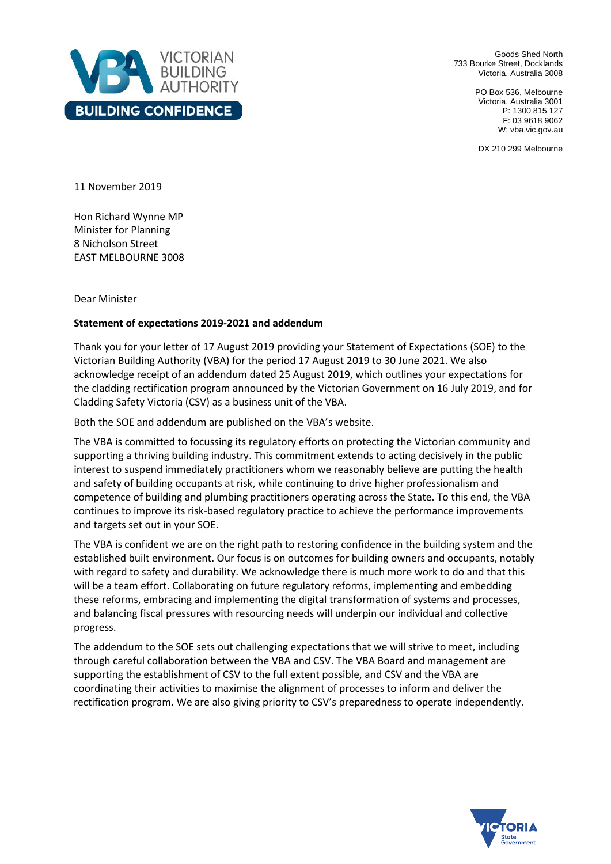

Goods Shed North 733 Bourke Street, Docklands Victoria, Australia 3008

> PO Box 536, Melbourne Victoria, Australia 3001 P: 1300 815 127 F: 03 9618 9062 W: vba.vic.gov.au

DX 210 299 Melbourne

11 November 2019

Hon Richard Wynne MP Minister for Planning 8 Nicholson Street EAST MELBOURNE 3008

Dear Minister

## **Statement of expectations 2019-2021 and addendum**

Thank you for your letter of 17 August 2019 providing your Statement of Expectations (SOE) to the Victorian Building Authority (VBA) for the period 17 August 2019 to 30 June 2021. We also acknowledge receipt of an addendum dated 25 August 2019, which outlines your expectations for the cladding rectification program announced by the Victorian Government on 16 July 2019, and for Cladding Safety Victoria (CSV) as a business unit of the VBA.

Both the SOE and addendum are published on the VBA's website.

The VBA is committed to focussing its regulatory efforts on protecting the Victorian community and supporting a thriving building industry. This commitment extends to acting decisively in the public interest to suspend immediately practitioners whom we reasonably believe are putting the health and safety of building occupants at risk, while continuing to drive higher professionalism and competence of building and plumbing practitioners operating across the State. To this end, the VBA continues to improve its risk-based regulatory practice to achieve the performance improvements and targets set out in your SOE.

The VBA is confident we are on the right path to restoring confidence in the building system and the established built environment. Our focus is on outcomes for building owners and occupants, notably with regard to safety and durability. We acknowledge there is much more work to do and that this will be a team effort. Collaborating on future regulatory reforms, implementing and embedding these reforms, embracing and implementing the digital transformation of systems and processes, and balancing fiscal pressures with resourcing needs will underpin our individual and collective progress.

The addendum to the SOE sets out challenging expectations that we will strive to meet, including through careful collaboration between the VBA and CSV. The VBA Board and management are supporting the establishment of CSV to the full extent possible, and CSV and the VBA are coordinating their activities to maximise the alignment of processes to inform and deliver the rectification program. We are also giving priority to CSV's preparedness to operate independently.